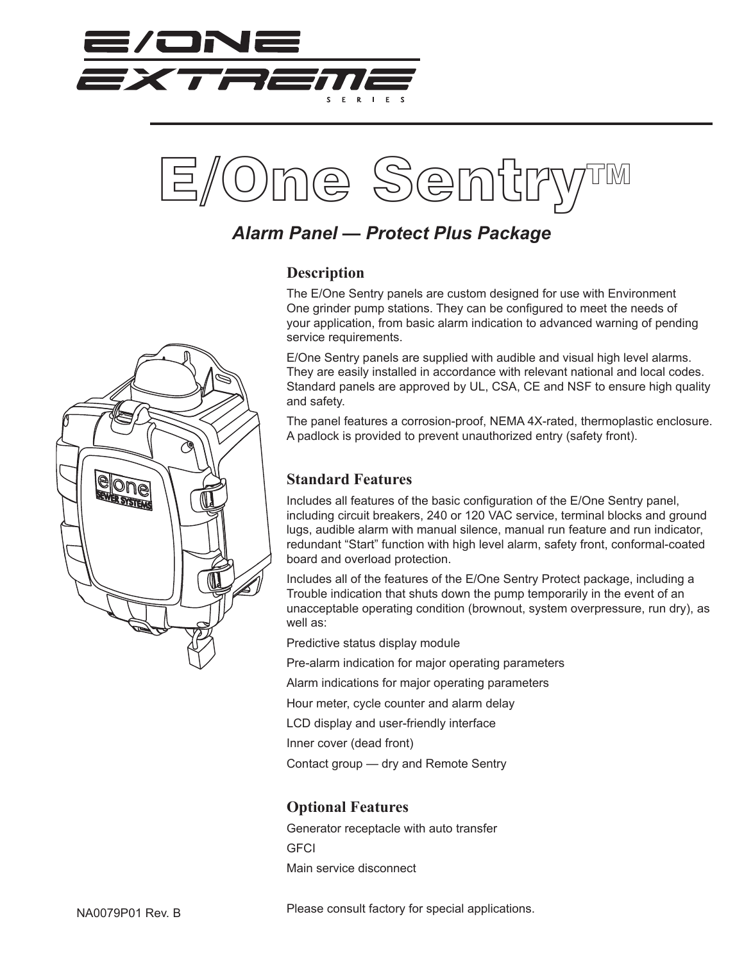



## *Alarm Panel — Protect Plus Package*

## **Description**

The E/One Sentry panels are custom designed for use with Environment One grinder pump stations. They can be configured to meet the needs of your application, from basic alarm indication to advanced warning of pending service requirements.

E/One Sentry panels are supplied with audible and visual high level alarms. They are easily installed in accordance with relevant national and local codes. Standard panels are approved by UL, CSA, CE and NSF to ensure high quality and safety.

The panel features a corrosion-proof, NEMA 4X-rated, thermoplastic enclosure. A padlock is provided to prevent unauthorized entry (safety front).

## **Standard Features**

Includes all features of the basic configuration of the E/One Sentry panel, including circuit breakers, 240 or 120 VAC service, terminal blocks and ground lugs, audible alarm with manual silence, manual run feature and run indicator, redundant "Start" function with high level alarm, safety front, conformal-coated board and overload protection.

Includes all of the features of the E/One Sentry Protect package, including a Trouble indication that shuts down the pump temporarily in the event of an unacceptable operating condition (brownout, system overpressure, run dry), as well as:

Predictive status display module

Pre-alarm indication for major operating parameters

Alarm indications for major operating parameters

Hour meter, cycle counter and alarm delay

LCD display and user-friendly interface

Inner cover (dead front)

Contact group — dry and Remote Sentry

## **Optional Features**

Generator receptacle with auto transfer **GFCI** Main service disconnect



Please consult factory for special applications.